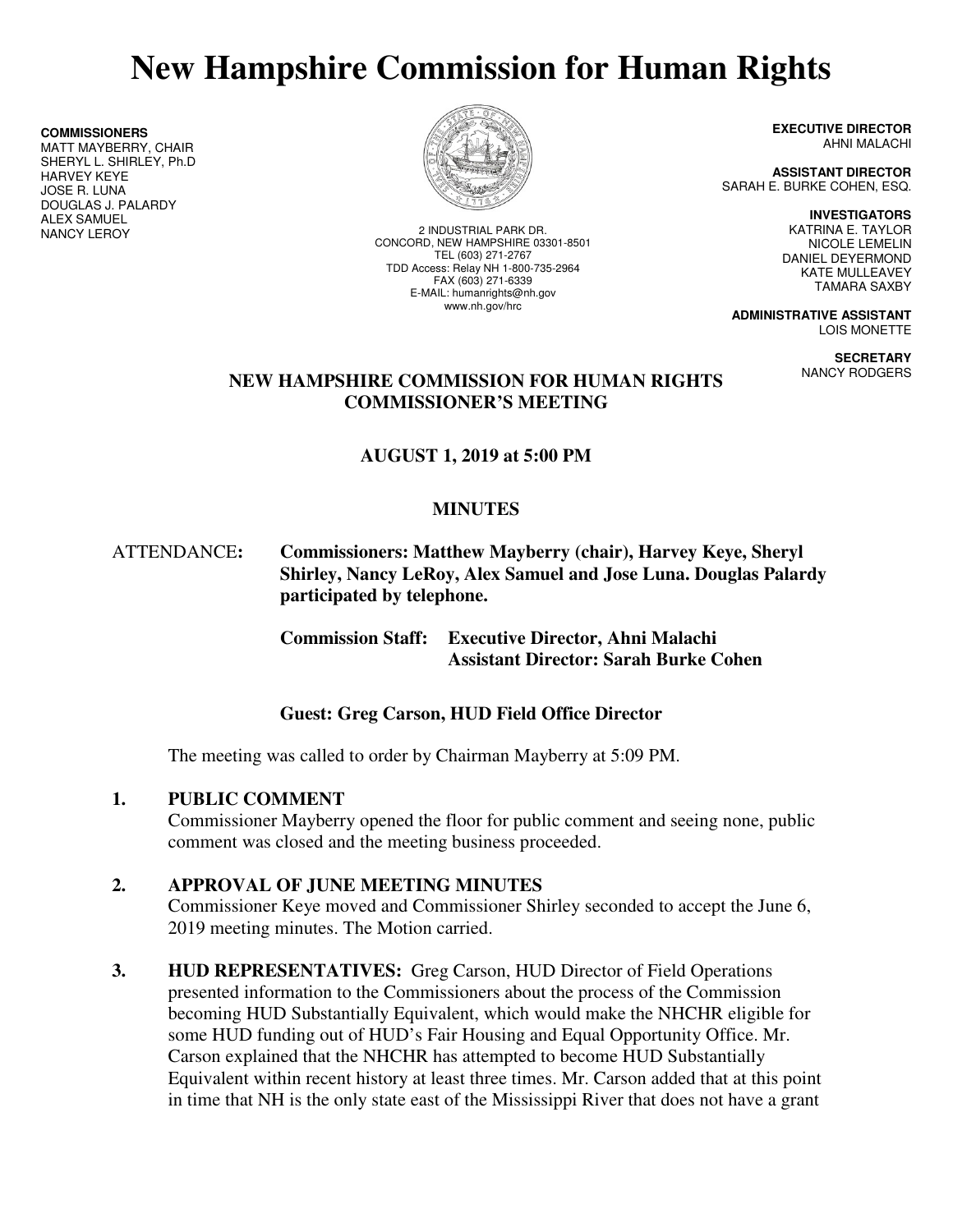# **New Hampshire Commission for Human Rights**

**COMMISSIONERS**

MATT MAYBERRY, CHAIR SHERYL L. SHIRLEY, Ph.D HARVEY KEYE JOSE R. LUNA DOUGLAS J. PALARDY **ALEX SAMUEL<br>NANCY LEROY** 



2 INDUSTRIAL PARK DR. CONCORD, NEW HAMPSHIRE 03301-8501 TEL (603) 271-2767 TDD Access: Relay NH 1-800-735-2964 FAX (603) 271-6339 E-MAIL: humanrights@nh.gov www.nh.gov/hrc

**EXECUTIVE DIRECTOR** AHNI MALACHI

**ASSISTANT DIRECTOR**  SARAH E. BURKE COHEN, ESQ.

> **INVESTIGATORS**  KATRINA E. TAYLOR NICOLE LEMELIN DANIEL DEYERMOND KATE MULLEAVEY TAMARA SAXBY

**ADMINISTRATIVE ASSISTANT**  LOIS MONETTE

> **SECRETARY**  NANCY RODGERS

## **NEW HAMPSHIRE COMMISSION FOR HUMAN RIGHTS COMMISSIONER'S MEETING**

# **AUGUST 1, 2019 at 5:00 PM**

# **MINUTES**

ATTENDANCE**: Commissioners: Matthew Mayberry (chair), Harvey Keye, Sheryl Shirley, Nancy LeRoy, Alex Samuel and Jose Luna. Douglas Palardy participated by telephone.** 

> **Commission Staff: Executive Director, Ahni Malachi Assistant Director: Sarah Burke Cohen**

# **Guest: Greg Carson, HUD Field Office Director**

The meeting was called to order by Chairman Mayberry at 5:09 PM.

## **1. PUBLIC COMMENT**

Commissioner Mayberry opened the floor for public comment and seeing none, public comment was closed and the meeting business proceeded.

## **2. APPROVAL OF JUNE MEETING MINUTES**

Commissioner Keye moved and Commissioner Shirley seconded to accept the June 6, 2019 meeting minutes. The Motion carried.

**3. HUD REPRESENTATIVES:** Greg Carson, HUD Director of Field Operations presented information to the Commissioners about the process of the Commission becoming HUD Substantially Equivalent, which would make the NHCHR eligible for some HUD funding out of HUD's Fair Housing and Equal Opportunity Office. Mr. Carson explained that the NHCHR has attempted to become HUD Substantially Equivalent within recent history at least three times. Mr. Carson added that at this point in time that NH is the only state east of the Mississippi River that does not have a grant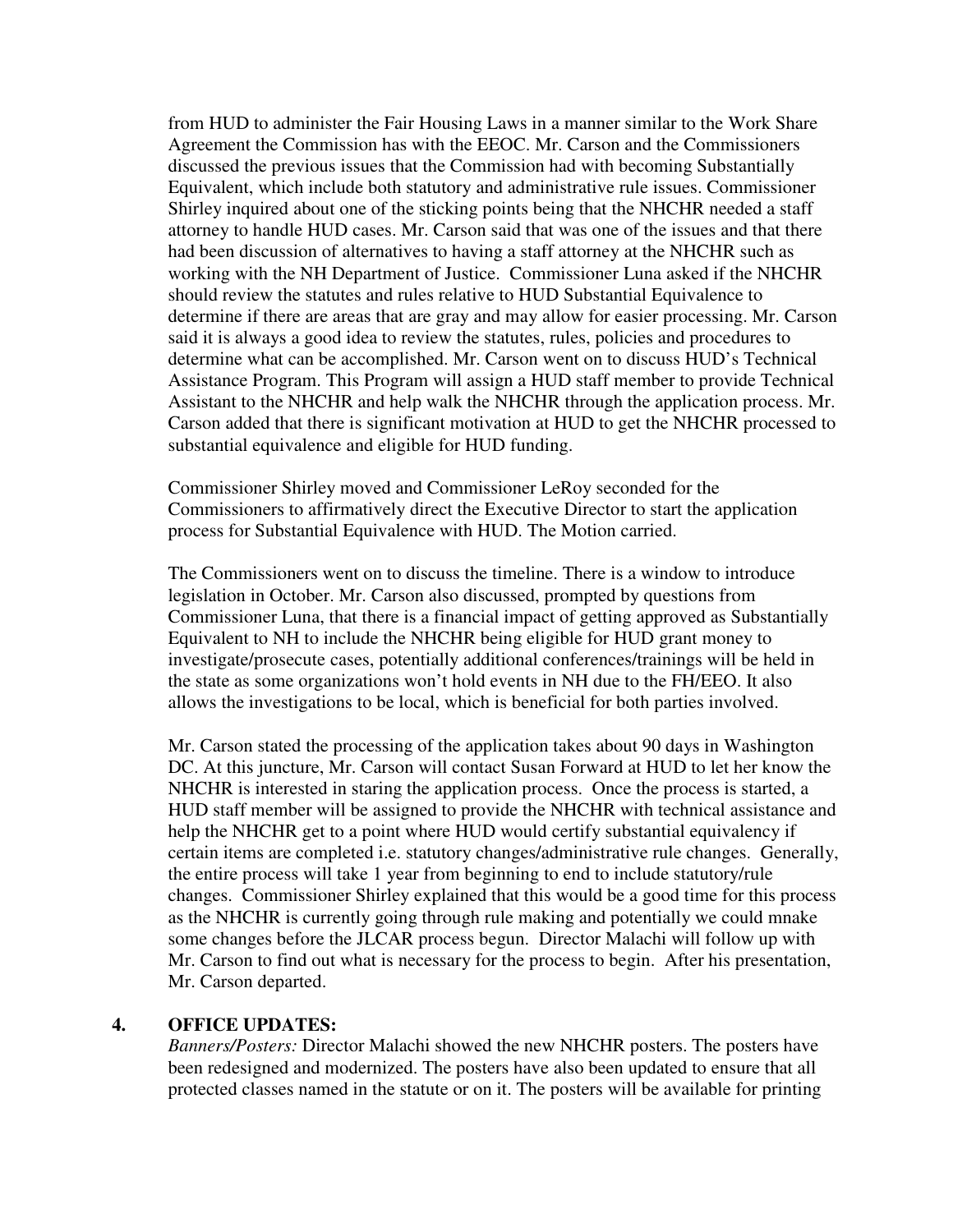from HUD to administer the Fair Housing Laws in a manner similar to the Work Share Agreement the Commission has with the EEOC. Mr. Carson and the Commissioners discussed the previous issues that the Commission had with becoming Substantially Equivalent, which include both statutory and administrative rule issues. Commissioner Shirley inquired about one of the sticking points being that the NHCHR needed a staff attorney to handle HUD cases. Mr. Carson said that was one of the issues and that there had been discussion of alternatives to having a staff attorney at the NHCHR such as working with the NH Department of Justice. Commissioner Luna asked if the NHCHR should review the statutes and rules relative to HUD Substantial Equivalence to determine if there are areas that are gray and may allow for easier processing. Mr. Carson said it is always a good idea to review the statutes, rules, policies and procedures to determine what can be accomplished. Mr. Carson went on to discuss HUD's Technical Assistance Program. This Program will assign a HUD staff member to provide Technical Assistant to the NHCHR and help walk the NHCHR through the application process. Mr. Carson added that there is significant motivation at HUD to get the NHCHR processed to substantial equivalence and eligible for HUD funding.

Commissioner Shirley moved and Commissioner LeRoy seconded for the Commissioners to affirmatively direct the Executive Director to start the application process for Substantial Equivalence with HUD. The Motion carried.

The Commissioners went on to discuss the timeline. There is a window to introduce legislation in October. Mr. Carson also discussed, prompted by questions from Commissioner Luna, that there is a financial impact of getting approved as Substantially Equivalent to NH to include the NHCHR being eligible for HUD grant money to investigate/prosecute cases, potentially additional conferences/trainings will be held in the state as some organizations won't hold events in NH due to the FH/EEO. It also allows the investigations to be local, which is beneficial for both parties involved.

Mr. Carson stated the processing of the application takes about 90 days in Washington DC. At this juncture, Mr. Carson will contact Susan Forward at HUD to let her know the NHCHR is interested in staring the application process. Once the process is started, a HUD staff member will be assigned to provide the NHCHR with technical assistance and help the NHCHR get to a point where HUD would certify substantial equivalency if certain items are completed i.e. statutory changes/administrative rule changes. Generally, the entire process will take 1 year from beginning to end to include statutory/rule changes. Commissioner Shirley explained that this would be a good time for this process as the NHCHR is currently going through rule making and potentially we could mnake some changes before the JLCAR process begun. Director Malachi will follow up with Mr. Carson to find out what is necessary for the process to begin. After his presentation, Mr. Carson departed.

#### **4. OFFICE UPDATES:**

*Banners/Posters:* Director Malachi showed the new NHCHR posters. The posters have been redesigned and modernized. The posters have also been updated to ensure that all protected classes named in the statute or on it. The posters will be available for printing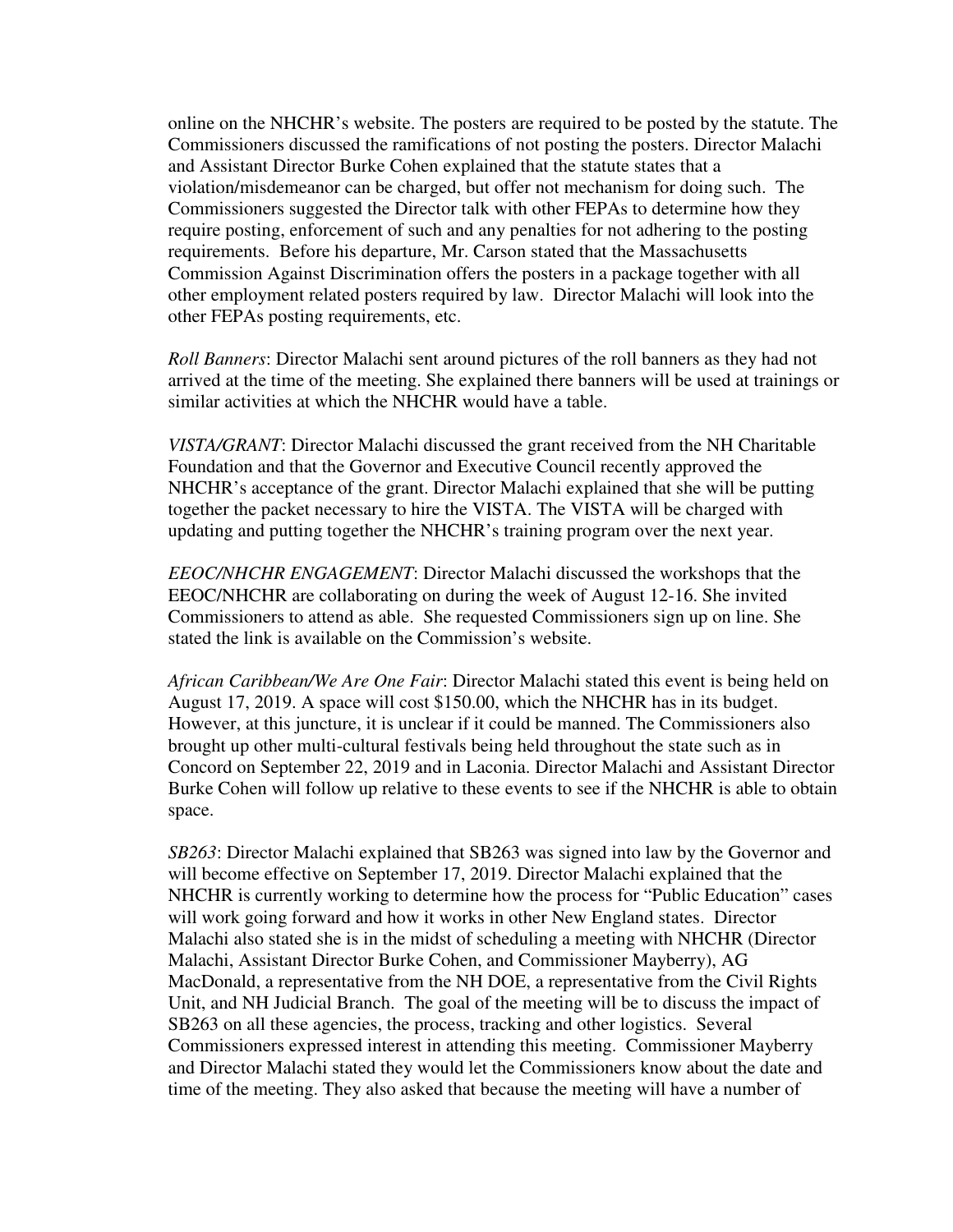online on the NHCHR's website. The posters are required to be posted by the statute. The Commissioners discussed the ramifications of not posting the posters. Director Malachi and Assistant Director Burke Cohen explained that the statute states that a violation/misdemeanor can be charged, but offer not mechanism for doing such. The Commissioners suggested the Director talk with other FEPAs to determine how they require posting, enforcement of such and any penalties for not adhering to the posting requirements. Before his departure, Mr. Carson stated that the Massachusetts Commission Against Discrimination offers the posters in a package together with all other employment related posters required by law. Director Malachi will look into the other FEPAs posting requirements, etc.

*Roll Banners*: Director Malachi sent around pictures of the roll banners as they had not arrived at the time of the meeting. She explained there banners will be used at trainings or similar activities at which the NHCHR would have a table.

*VISTA/GRANT*: Director Malachi discussed the grant received from the NH Charitable Foundation and that the Governor and Executive Council recently approved the NHCHR's acceptance of the grant. Director Malachi explained that she will be putting together the packet necessary to hire the VISTA. The VISTA will be charged with updating and putting together the NHCHR's training program over the next year.

*EEOC/NHCHR ENGAGEMENT*: Director Malachi discussed the workshops that the EEOC/NHCHR are collaborating on during the week of August 12-16. She invited Commissioners to attend as able. She requested Commissioners sign up on line. She stated the link is available on the Commission's website.

*African Caribbean/We Are One Fair*: Director Malachi stated this event is being held on August 17, 2019. A space will cost \$150.00, which the NHCHR has in its budget. However, at this juncture, it is unclear if it could be manned. The Commissioners also brought up other multi-cultural festivals being held throughout the state such as in Concord on September 22, 2019 and in Laconia. Director Malachi and Assistant Director Burke Cohen will follow up relative to these events to see if the NHCHR is able to obtain space.

*SB263*: Director Malachi explained that SB263 was signed into law by the Governor and will become effective on September 17, 2019. Director Malachi explained that the NHCHR is currently working to determine how the process for "Public Education" cases will work going forward and how it works in other New England states. Director Malachi also stated she is in the midst of scheduling a meeting with NHCHR (Director Malachi, Assistant Director Burke Cohen, and Commissioner Mayberry), AG MacDonald, a representative from the NH DOE, a representative from the Civil Rights Unit, and NH Judicial Branch. The goal of the meeting will be to discuss the impact of SB263 on all these agencies, the process, tracking and other logistics. Several Commissioners expressed interest in attending this meeting. Commissioner Mayberry and Director Malachi stated they would let the Commissioners know about the date and time of the meeting. They also asked that because the meeting will have a number of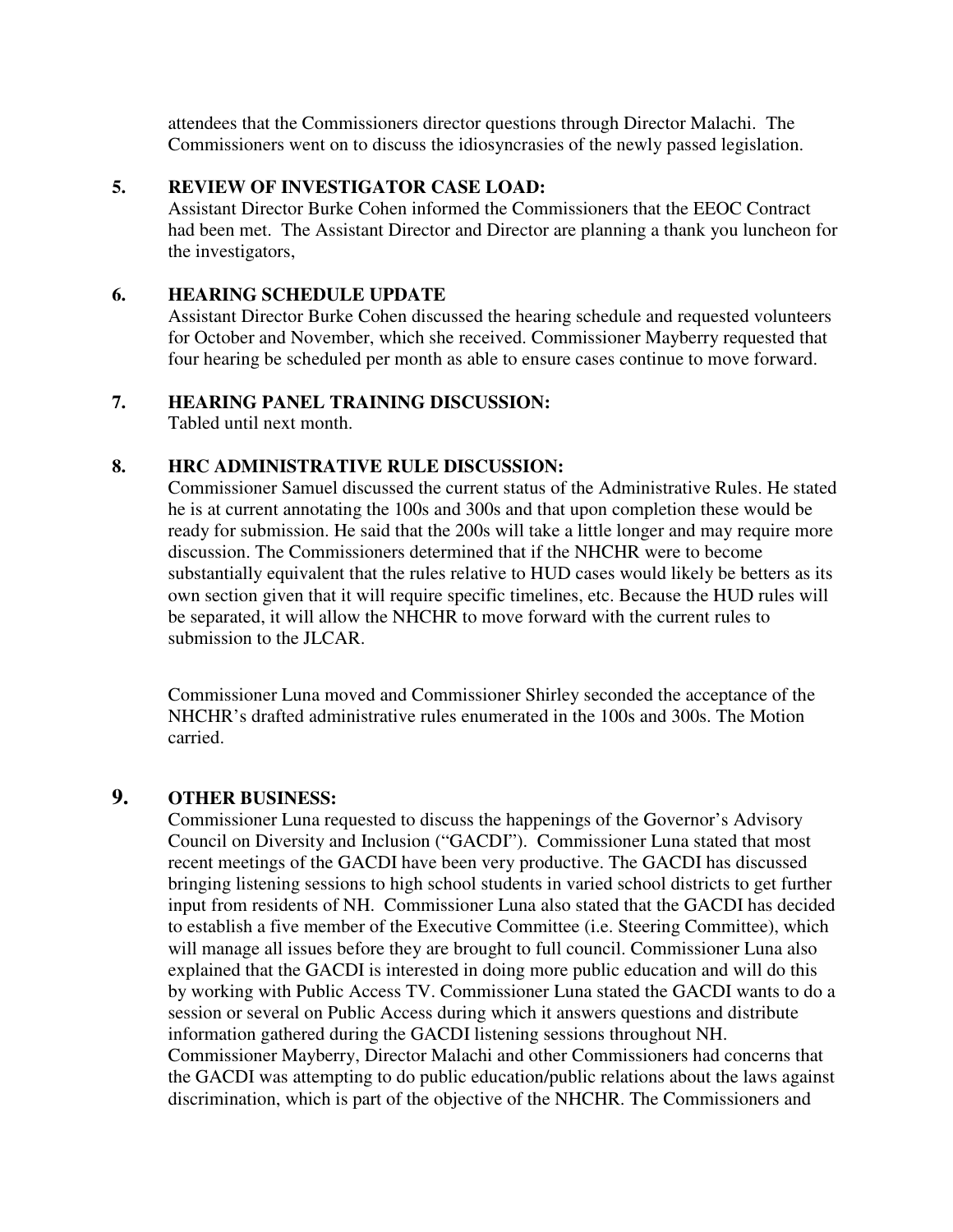attendees that the Commissioners director questions through Director Malachi. The Commissioners went on to discuss the idiosyncrasies of the newly passed legislation.

## **5. REVIEW OF INVESTIGATOR CASE LOAD:**

Assistant Director Burke Cohen informed the Commissioners that the EEOC Contract had been met. The Assistant Director and Director are planning a thank you luncheon for the investigators,

## **6. HEARING SCHEDULE UPDATE**

Assistant Director Burke Cohen discussed the hearing schedule and requested volunteers for October and November, which she received. Commissioner Mayberry requested that four hearing be scheduled per month as able to ensure cases continue to move forward.

## **7. HEARING PANEL TRAINING DISCUSSION:**

Tabled until next month.

## **8. HRC ADMINISTRATIVE RULE DISCUSSION:**

Commissioner Samuel discussed the current status of the Administrative Rules. He stated he is at current annotating the 100s and 300s and that upon completion these would be ready for submission. He said that the 200s will take a little longer and may require more discussion. The Commissioners determined that if the NHCHR were to become substantially equivalent that the rules relative to HUD cases would likely be betters as its own section given that it will require specific timelines, etc. Because the HUD rules will be separated, it will allow the NHCHR to move forward with the current rules to submission to the JLCAR.

Commissioner Luna moved and Commissioner Shirley seconded the acceptance of the NHCHR's drafted administrative rules enumerated in the 100s and 300s. The Motion carried.

# **9. OTHER BUSINESS:**

Commissioner Luna requested to discuss the happenings of the Governor's Advisory Council on Diversity and Inclusion ("GACDI"). Commissioner Luna stated that most recent meetings of the GACDI have been very productive. The GACDI has discussed bringing listening sessions to high school students in varied school districts to get further input from residents of NH. Commissioner Luna also stated that the GACDI has decided to establish a five member of the Executive Committee (i.e. Steering Committee), which will manage all issues before they are brought to full council. Commissioner Luna also explained that the GACDI is interested in doing more public education and will do this by working with Public Access TV. Commissioner Luna stated the GACDI wants to do a session or several on Public Access during which it answers questions and distribute information gathered during the GACDI listening sessions throughout NH. Commissioner Mayberry, Director Malachi and other Commissioners had concerns that the GACDI was attempting to do public education/public relations about the laws against discrimination, which is part of the objective of the NHCHR. The Commissioners and